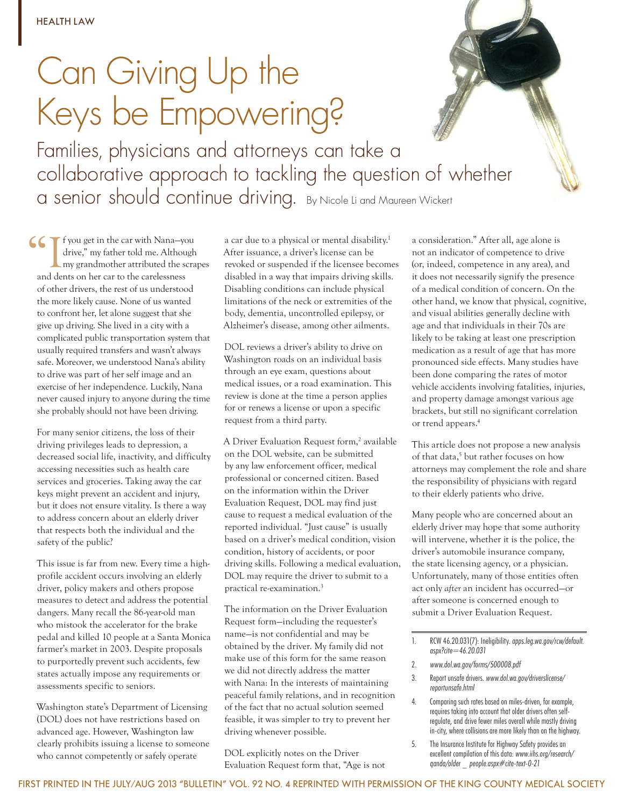## Can Giving Up the Keys be Empowering?

Families, physicians and attorneys can take a collaborative approach to tackling the question of whether a senior should continue driving. By Nicole Li and Maureen Wickert

I f you get in the car with Nana–you drive," my father told me. Although my grandmother attributed the scra<br>and dents on her car to the carelessness drive," my father told me. Although my grandmother attributed the scrapes and dents on her car to the carelessness of other drivers, the rest of us understood the more likely cause. None of us wanted to confront her, let alone suggest that she give up driving. She lived in a city with a complicated public transportation system that usually required transfers and wasn't always safe. Moreover, we understood Nana's ability to drive was part of her self image and an exercise of her independence. Luckily, Nana never caused injury to anyone during the time she probably should not have been driving.

For many senior citizens, the loss of their driving privileges leads to depression, a decreased social life, inactivity, and difficulty accessing necessities such as health care services and groceries. Taking away the car keys might prevent an accident and injury, but it does not ensure vitality. Is there a way to address concern about an elderly driver that respects both the individual and the safety of the public?

This issue is far from new. Every time a highprofile accident occurs involving an elderly driver, policy makers and others propose measures to detect and address the potential dangers. Many recall the 86-year-old man who mistook the accelerator for the brake pedal and killed 10 people at a Santa Monica farmer's market in 2003. Despite proposals to purportedly prevent such accidents, few states actually impose any requirements or assessments specific to seniors.

Washington state's Department of Licensing (DOL) does not have restrictions based on advanced age. However, Washington law clearly prohibits issuing a license to someone who cannot competently or safely operate

a car due to a physical or mental disability.<sup>1</sup> After issuance, a driver's license can be revoked or suspended if the licensee becomes disabled in a way that impairs driving skills. Disabling conditions can include physical limitations of the neck or extremities of the body, dementia, uncontrolled epilepsy, or Alzheimer's disease, among other ailments.

DOL reviews a driver's ability to drive on Washington roads on an individual basis through an eye exam, questions about medical issues, or a road examination. This review is done at the time a person applies for or renews a license or upon a specific request from a third party.

A Driver Evaluation Request form,<sup>2</sup> available on the DOL website, can be submitted by any law enforcement officer, medical professional or concerned citizen. Based on the information within the Driver Evaluation Request, DOL may find just cause to request a medical evaluation of the reported individual. "Just cause" is usually based on a driver's medical condition, vision condition, history of accidents, or poor driving skills. Following a medical evaluation, DOL may require the driver to submit to a practical re-examination.3

The information on the Driver Evaluation Request form—including the requester's name—is not confidential and may be obtained by the driver. My family did not make use of this form for the same reason we did not directly address the matter with Nana: In the interests of maintaining peaceful family relations, and in recognition of the fact that no actual solution seemed feasible, it was simpler to try to prevent her driving whenever possible.

DOL explicitly notes on the Driver Evaluation Request form that, "Age is not a consideration." After all, age alone is not an indicator of competence to drive (or, indeed, competence in any area), and it does not necessarily signify the presence of a medical condition of concern. On the other hand, we know that physical, cognitive, and visual abilities generally decline with age and that individuals in their 70s are likely to be taking at least one prescription medication as a result of age that has more pronounced side effects. Many studies have been done comparing the rates of motor vehicle accidents involving fatalities, injuries, and property damage amongst various age brackets, but still no significant correlation or trend appears.4

This article does not propose a new analysis of that data,<sup>5</sup> but rather focuses on how attorneys may complement the role and share the responsibility of physicians with regard to their elderly patients who drive.

Many people who are concerned about an elderly driver may hope that some authority will intervene, whether it is the police, the driver's automobile insurance company, the state licensing agency, or a physician. Unfortunately, many of those entities often act only *after* an incident has occurred—or after someone is concerned enough to submit a Driver Evaluation Request.

- 2. www.dol.wa.gov/forms/500008.pdf
- 3. Report unsafe drivers. www.dol.wa.gov/driverslicense/ reportunsafe.html
- 4. Comparing such rates based on miles-driven, for example, requires taking into account that older drivers often selfregulate, and drive fewer miles overall while mostly driving in-city, where collisions are more likely than on the highway.
- 5. The Insurance Institute for Highway Safety provides an excellent compilation of this data: www.iihs.org/research/ qanda/older \_ people.aspx#cite-text-0-21

<sup>1.</sup> RCW 46.20.031(7): Ineligibility. apps.leg.wa.gov/rcw/default. aspx?cite=46.20.031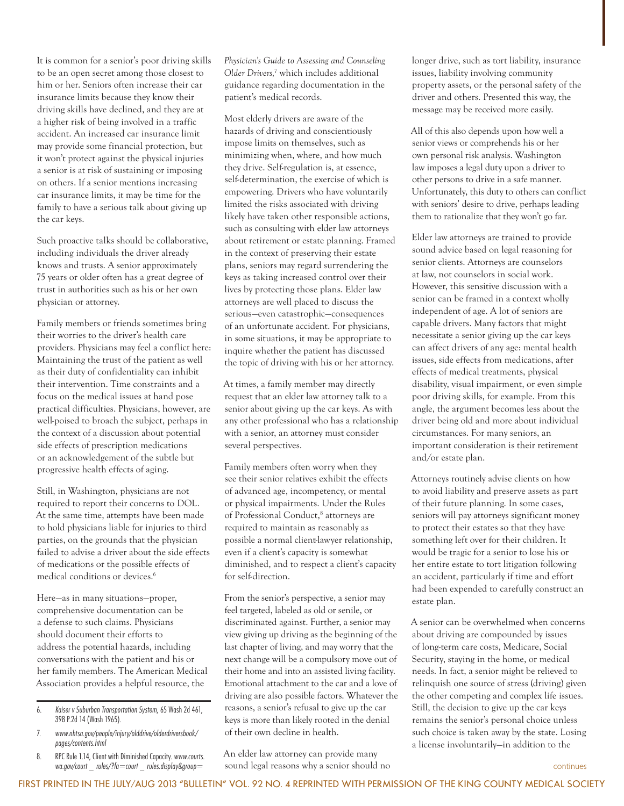It is common for a senior's poor driving skills to be an open secret among those closest to him or her. Seniors often increase their car insurance limits because they know their driving skills have declined, and they are at a higher risk of being involved in a traffic accident. An increased car insurance limit may provide some financial protection, but it won't protect against the physical injuries a senior is at risk of sustaining or imposing on others. If a senior mentions increasing car insurance limits, it may be time for the family to have a serious talk about giving up the car keys.

Such proactive talks should be collaborative, including individuals the driver already knows and trusts. A senior approximately 75 years or older often has a great degree of trust in authorities such as his or her own physician or attorney.

Family members or friends sometimes bring their worries to the driver's health care providers. Physicians may feel a conflict here: Maintaining the trust of the patient as well as their duty of confidentiality can inhibit their intervention. Time constraints and a focus on the medical issues at hand pose practical difficulties. Physicians, however, are well-poised to broach the subject, perhaps in the context of a discussion about potential side effects of prescription medications or an acknowledgement of the subtle but progressive health effects of aging.

Still, in Washington, physicians are not required to report their concerns to DOL. At the same time, attempts have been made to hold physicians liable for injuries to third parties, on the grounds that the physician failed to advise a driver about the side effects of medications or the possible effects of medical conditions or devices.<sup>6</sup>

Here—as in many situations—proper, comprehensive documentation can be a defense to such claims. Physicians should document their efforts to address the potential hazards, including conversations with the patient and his or her family members. The American Medical Association provides a helpful resource, the

- 6. Kaiser v Suburban Transportation System, 65 Wash 2d 461, 398 P.2d 14 (Wash 1965).
- 7. www.nhtsa.gov/people/injury/olddrive/olderdriversbook/ pages/contents.html
- 8. RPC Rule 1.14, Client with Diminished Capacity. www.courts. wa.gov/court rules/?fa=court rules.display&group=

*Physician's Guide to Assessing and Counseling Older Drivers,*<sup>7</sup> which includes additional guidance regarding documentation in the patient's medical records.

Most elderly drivers are aware of the hazards of driving and conscientiously impose limits on themselves, such as minimizing when, where, and how much they drive. Self-regulation is, at essence, self-determination, the exercise of which is empowering. Drivers who have voluntarily limited the risks associated with driving likely have taken other responsible actions, such as consulting with elder law attorneys about retirement or estate planning. Framed in the context of preserving their estate plans, seniors may regard surrendering the keys as taking increased control over their lives by protecting those plans. Elder law attorneys are well placed to discuss the serious—even catastrophic—consequences of an unfortunate accident. For physicians, in some situations, it may be appropriate to inquire whether the patient has discussed the topic of driving with his or her attorney.

At times, a family member may directly request that an elder law attorney talk to a senior about giving up the car keys. As with any other professional who has a relationship with a senior, an attorney must consider several perspectives.

Family members often worry when they see their senior relatives exhibit the effects of advanced age, incompetency, or mental or physical impairments. Under the Rules of Professional Conduct,<sup>8</sup> attorneys are required to maintain as reasonably as possible a normal client-lawyer relationship, even if a client's capacity is somewhat diminished, and to respect a client's capacity for self-direction.

From the senior's perspective, a senior may feel targeted, labeled as old or senile, or discriminated against. Further, a senior may view giving up driving as the beginning of the last chapter of living, and may worry that the next change will be a compulsory move out of their home and into an assisted living facility. Emotional attachment to the car and a love of driving are also possible factors. Whatever the reasons, a senior's refusal to give up the car keys is more than likely rooted in the denial of their own decline in health.

An elder law attorney can provide many sound legal reasons why a senior should no \_ rules/?fa=court \_ rules.display&group= continues

longer drive, such as tort liability, insurance issues, liability involving community property assets, or the personal safety of the driver and others. Presented this way, the message may be received more easily.

All of this also depends upon how well a senior views or comprehends his or her own personal risk analysis. Washington law imposes a legal duty upon a driver to other persons to drive in a safe manner. Unfortunately, this duty to others can conflict with seniors' desire to drive, perhaps leading them to rationalize that they won't go far.

Elder law attorneys are trained to provide sound advice based on legal reasoning for senior clients. Attorneys are counselors at law, not counselors in social work. However, this sensitive discussion with a senior can be framed in a context wholly independent of age. A lot of seniors are capable drivers. Many factors that might necessitate a senior giving up the car keys can affect drivers of any age: mental health issues, side effects from medications, after effects of medical treatments, physical disability, visual impairment, or even simple poor driving skills, for example. From this angle, the argument becomes less about the driver being old and more about individual circumstances. For many seniors, an important consideration is their retirement and/or estate plan.

Attorneys routinely advise clients on how to avoid liability and preserve assets as part of their future planning. In some cases, seniors will pay attorneys significant money to protect their estates so that they have something left over for their children. It would be tragic for a senior to lose his or her entire estate to tort litigation following an accident, particularly if time and effort had been expended to carefully construct an estate plan.

A senior can be overwhelmed when concerns about driving are compounded by issues of long-term care costs, Medicare, Social Security, staying in the home, or medical needs. In fact, a senior might be relieved to relinquish one source of stress (driving) given the other competing and complex life issues. Still, the decision to give up the car keys remains the senior's personal choice unless such choice is taken away by the state. Losing a license involuntarily—in addition to the